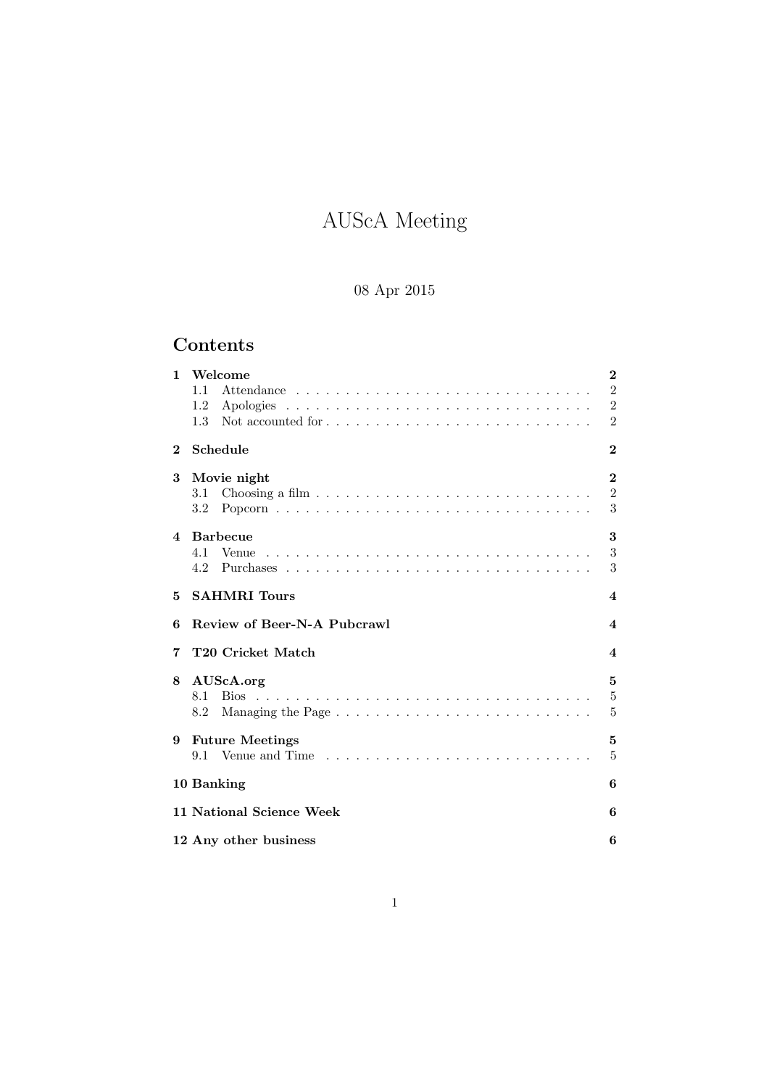# AUScA Meeting

# 08 Apr 2015

# Contents

| $\mathbf{1}$ | Welcome<br>1.1<br>1.2<br>Not accounted for $\dots \dots \dots \dots \dots \dots \dots \dots \dots \dots$<br>1.3 | $\bf{2}$<br>$\,2$<br>$\overline{2}$<br>$\overline{2}$ |
|--------------|-----------------------------------------------------------------------------------------------------------------|-------------------------------------------------------|
| $\bf{2}$     | Schedule                                                                                                        | $\bf{2}$                                              |
| 3            | Movie night<br>3.1<br>$3.2\phantom{0}$                                                                          | $\bf{2}$<br>$\overline{2}$<br>3                       |
| 4            | <b>Barbecue</b><br>4.1<br>4.2                                                                                   | 3<br>3<br>3                                           |
| 5            | <b>SAHMRI</b> Tours                                                                                             | $\overline{\mathbf{4}}$                               |
| 6            | Review of Beer-N-A Pubcrawl                                                                                     | 4                                                     |
| 7            | T20 Cricket Match                                                                                               | $\overline{\mathbf{4}}$                               |
| 8            | AUScA.org<br>8.2                                                                                                | 5<br>$\bf 5$<br>5                                     |
| 9            | <b>Future Meetings</b>                                                                                          | 5<br>5                                                |
|              | 10 Banking                                                                                                      | 6                                                     |
|              | 11 National Science Week                                                                                        | 6                                                     |
|              | 12 Any other business                                                                                           | 6                                                     |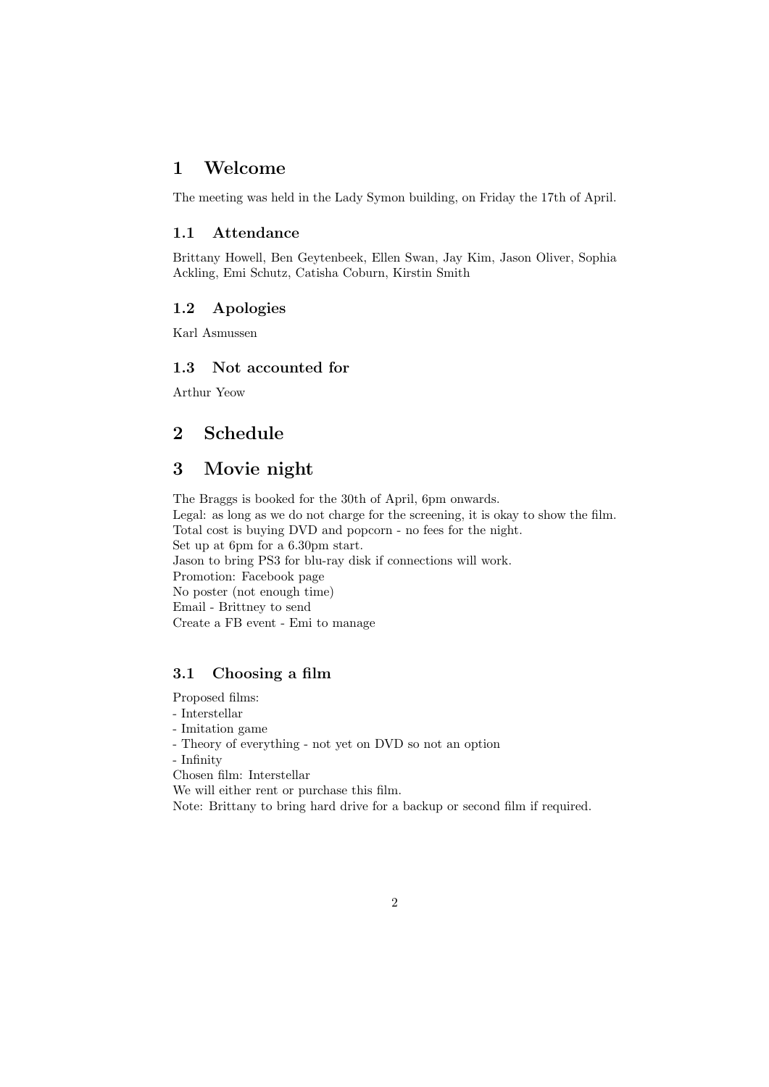## 1 Welcome

The meeting was held in the Lady Symon building, on Friday the 17th of April.

#### 1.1 Attendance

Brittany Howell, Ben Geytenbeek, Ellen Swan, Jay Kim, Jason Oliver, Sophia Ackling, Emi Schutz, Catisha Coburn, Kirstin Smith

#### 1.2 Apologies

Karl Asmussen

#### 1.3 Not accounted for

Arthur Yeow

# 2 Schedule

# 3 Movie night

The Braggs is booked for the 30th of April, 6pm onwards. Legal: as long as we do not charge for the screening, it is okay to show the film. Total cost is buying DVD and popcorn - no fees for the night. Set up at 6pm for a 6.30pm start. Jason to bring PS3 for blu-ray disk if connections will work. Promotion: Facebook page No poster (not enough time) Email - Brittney to send Create a FB event - Emi to manage

#### 3.1 Choosing a film

Proposed films: - Interstellar - Imitation game - Theory of everything - not yet on DVD so not an option - Infinity

Chosen film: Interstellar We will either rent or purchase this film.

Note: Brittany to bring hard drive for a backup or second film if required.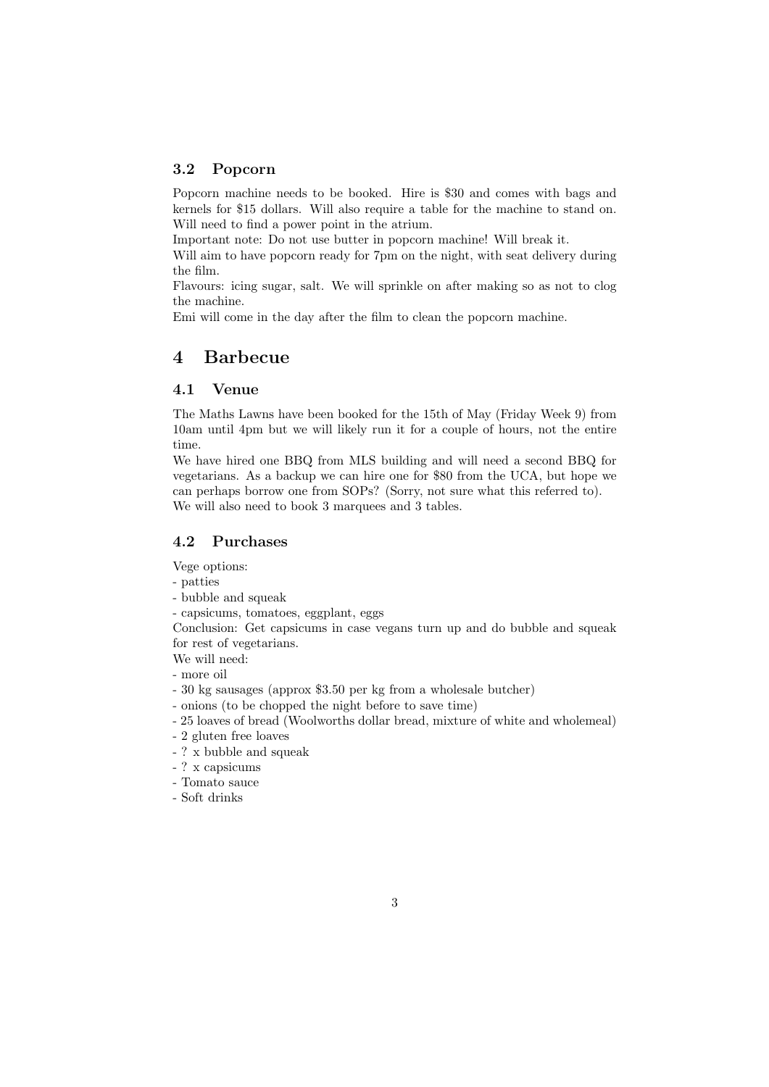#### 3.2 Popcorn

Popcorn machine needs to be booked. Hire is \$30 and comes with bags and kernels for \$15 dollars. Will also require a table for the machine to stand on. Will need to find a power point in the atrium.

Important note: Do not use butter in popcorn machine! Will break it.

Will aim to have popcorn ready for 7pm on the night, with seat delivery during the film.

Flavours: icing sugar, salt. We will sprinkle on after making so as not to clog the machine.

Emi will come in the day after the film to clean the popcorn machine.

#### 4 Barbecue

#### 4.1 Venue

The Maths Lawns have been booked for the 15th of May (Friday Week 9) from 10am until 4pm but we will likely run it for a couple of hours, not the entire time.

We have hired one BBQ from MLS building and will need a second BBQ for vegetarians. As a backup we can hire one for \$80 from the UCA, but hope we can perhaps borrow one from SOPs? (Sorry, not sure what this referred to). We will also need to book 3 marquees and 3 tables.

#### 4.2 Purchases

Vege options:

- patties

- bubble and squeak
- capsicums, tomatoes, eggplant, eggs

Conclusion: Get capsicums in case vegans turn up and do bubble and squeak for rest of vegetarians.

We will need:

- more oil

- 30 kg sausages (approx \$3.50 per kg from a wholesale butcher)
- onions (to be chopped the night before to save time)
- 25 loaves of bread (Woolworths dollar bread, mixture of white and wholemeal)
- 2 gluten free loaves
- ? x bubble and squeak
- ? x capsicums
- Tomato sauce
- Soft drinks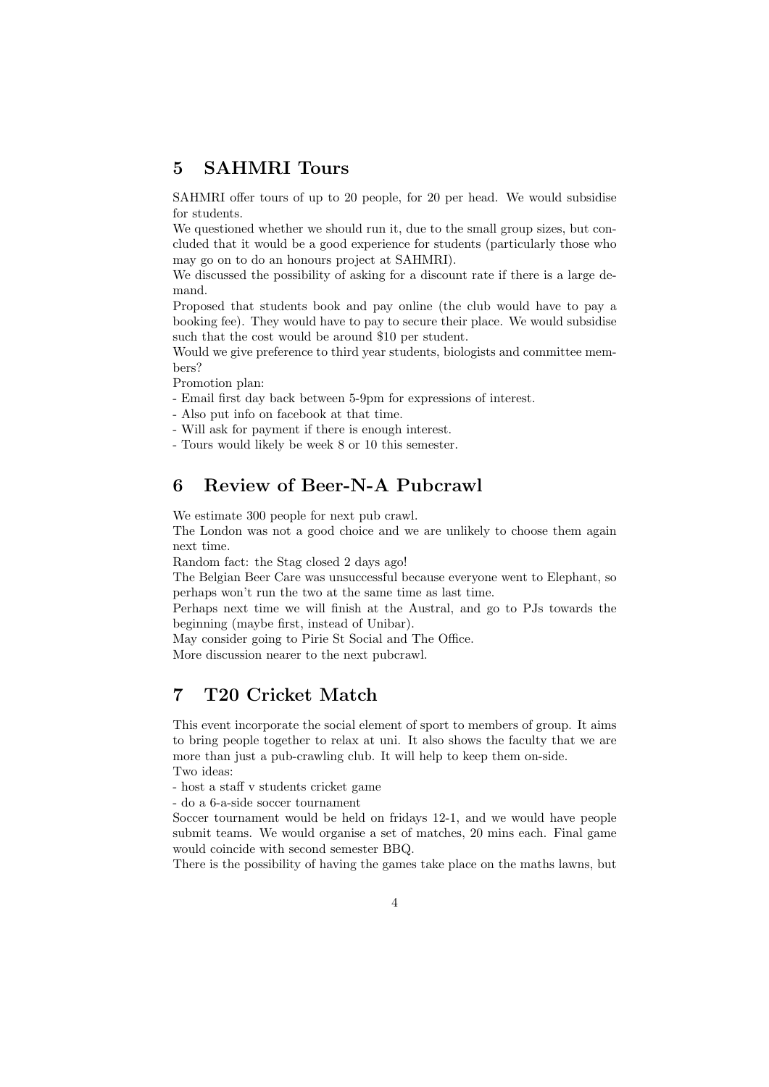# 5 SAHMRI Tours

SAHMRI offer tours of up to 20 people, for 20 per head. We would subsidise for students.

We questioned whether we should run it, due to the small group sizes, but concluded that it would be a good experience for students (particularly those who may go on to do an honours project at SAHMRI).

We discussed the possibility of asking for a discount rate if there is a large demand.

Proposed that students book and pay online (the club would have to pay a booking fee). They would have to pay to secure their place. We would subsidise such that the cost would be around \$10 per student.

Would we give preference to third year students, biologists and committee members?

Promotion plan:

- Email first day back between 5-9pm for expressions of interest.

- Also put info on facebook at that time.
- Will ask for payment if there is enough interest.
- Tours would likely be week 8 or 10 this semester.

# 6 Review of Beer-N-A Pubcrawl

We estimate 300 people for next pub crawl.

The London was not a good choice and we are unlikely to choose them again next time.

Random fact: the Stag closed 2 days ago!

The Belgian Beer Care was unsuccessful because everyone went to Elephant, so perhaps won't run the two at the same time as last time.

Perhaps next time we will finish at the Austral, and go to PJs towards the beginning (maybe first, instead of Unibar).

May consider going to Pirie St Social and The Office.

More discussion nearer to the next pubcrawl.

# 7 T20 Cricket Match

This event incorporate the social element of sport to members of group. It aims to bring people together to relax at uni. It also shows the faculty that we are more than just a pub-crawling club. It will help to keep them on-side. Two ideas:

- host a staff v students cricket game

- do a 6-a-side soccer tournament

Soccer tournament would be held on fridays 12-1, and we would have people submit teams. We would organise a set of matches, 20 mins each. Final game would coincide with second semester BBQ.

There is the possibility of having the games take place on the maths lawns, but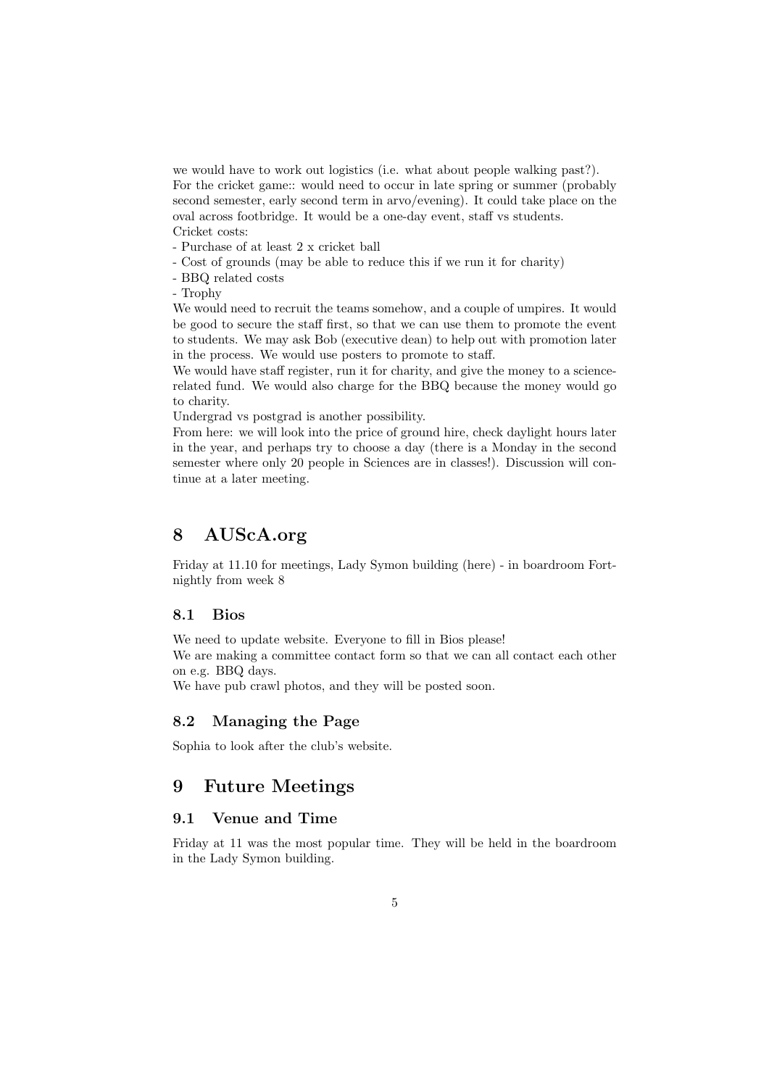we would have to work out logistics (i.e. what about people walking past?). For the cricket game:: would need to occur in late spring or summer (probably second semester, early second term in arvo/evening). It could take place on the oval across footbridge. It would be a one-day event, staff vs students. Cricket costs:

- Purchase of at least 2 x cricket ball

- Cost of grounds (may be able to reduce this if we run it for charity)

- BBQ related costs

- Trophy

We would need to recruit the teams somehow, and a couple of umpires. It would be good to secure the staff first, so that we can use them to promote the event to students. We may ask Bob (executive dean) to help out with promotion later in the process. We would use posters to promote to staff.

We would have staff register, run it for charity, and give the money to a sciencerelated fund. We would also charge for the BBQ because the money would go to charity.

Undergrad vs postgrad is another possibility.

From here: we will look into the price of ground hire, check daylight hours later in the year, and perhaps try to choose a day (there is a Monday in the second semester where only 20 people in Sciences are in classes!). Discussion will continue at a later meeting.

### 8 AUScA.org

Friday at 11.10 for meetings, Lady Symon building (here) - in boardroom Fortnightly from week 8

#### 8.1 Bios

We need to update website. Everyone to fill in Bios please! We are making a committee contact form so that we can all contact each other on e.g. BBQ days.

We have pub crawl photos, and they will be posted soon.

#### 8.2 Managing the Page

Sophia to look after the club's website.

#### 9 Future Meetings

#### 9.1 Venue and Time

Friday at 11 was the most popular time. They will be held in the boardroom in the Lady Symon building.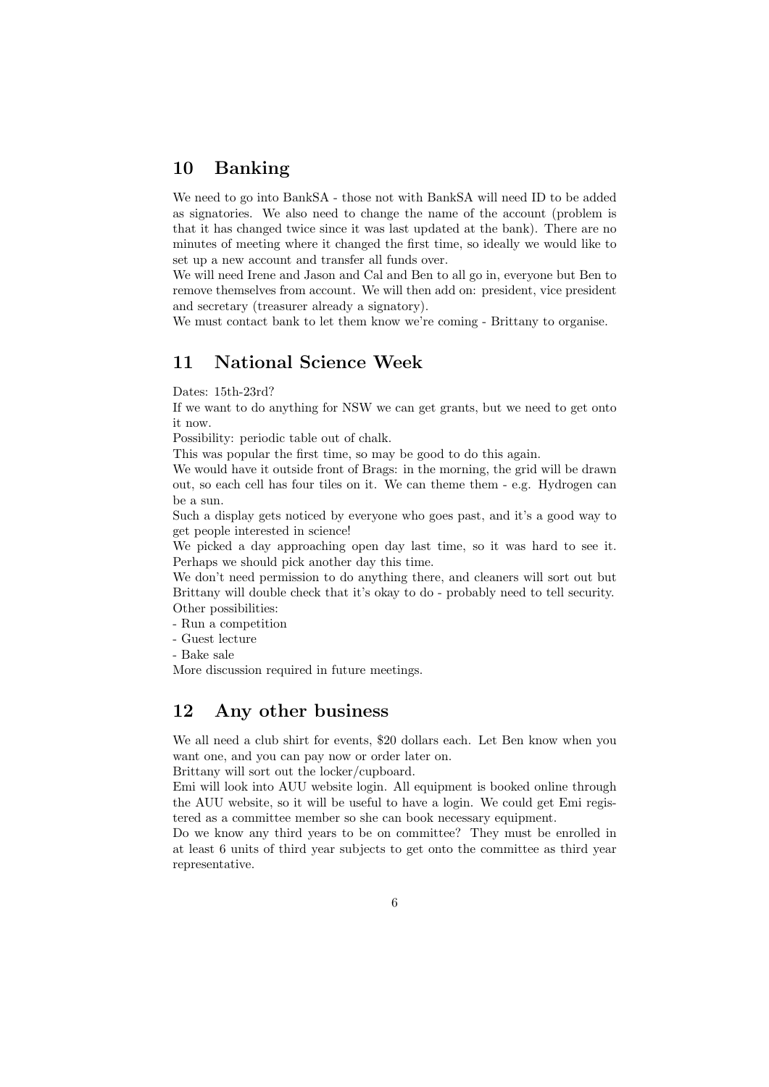# 10 Banking

We need to go into BankSA - those not with BankSA will need ID to be added as signatories. We also need to change the name of the account (problem is that it has changed twice since it was last updated at the bank). There are no minutes of meeting where it changed the first time, so ideally we would like to set up a new account and transfer all funds over.

We will need Irene and Jason and Cal and Ben to all go in, everyone but Ben to remove themselves from account. We will then add on: president, vice president and secretary (treasurer already a signatory).

We must contact bank to let them know we're coming - Brittany to organise.

# 11 National Science Week

Dates: 15th-23rd?

If we want to do anything for NSW we can get grants, but we need to get onto it now.

Possibility: periodic table out of chalk.

This was popular the first time, so may be good to do this again.

We would have it outside front of Brags: in the morning, the grid will be drawn out, so each cell has four tiles on it. We can theme them - e.g. Hydrogen can be a sun.

Such a display gets noticed by everyone who goes past, and it's a good way to get people interested in science!

We picked a day approaching open day last time, so it was hard to see it. Perhaps we should pick another day this time.

We don't need permission to do anything there, and cleaners will sort out but Brittany will double check that it's okay to do - probably need to tell security. Other possibilities:

- Run a competition

- Guest lecture

- Bake sale

More discussion required in future meetings.

### 12 Any other business

We all need a club shirt for events, \$20 dollars each. Let Ben know when you want one, and you can pay now or order later on.

Brittany will sort out the locker/cupboard.

Emi will look into AUU website login. All equipment is booked online through the AUU website, so it will be useful to have a login. We could get Emi registered as a committee member so she can book necessary equipment.

Do we know any third years to be on committee? They must be enrolled in at least 6 units of third year subjects to get onto the committee as third year representative.